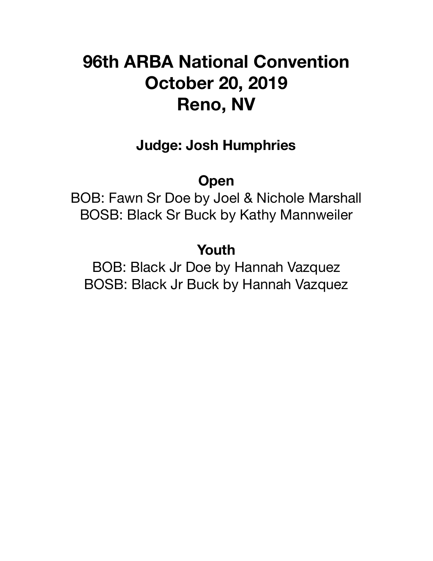# **96th ARBA National Convention October 20, 2019 Reno, NV**

# **Judge: Josh Humphries**

# **Open**

BOB: Fawn Sr Doe by Joel & Nichole Marshall BOSB: Black Sr Buck by Kathy Mannweiler

# **Youth**

BOB: Black Jr Doe by Hannah Vazquez BOSB: Black Jr Buck by Hannah Vazquez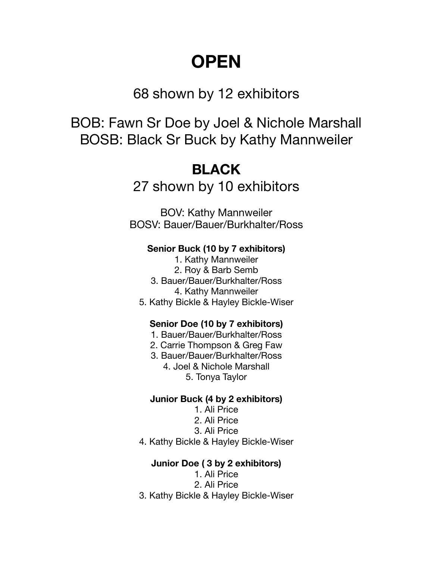# **OPEN**

## 68 shown by 12 exhibitors

BOB: Fawn Sr Doe by Joel & Nichole Marshall BOSB: Black Sr Buck by Kathy Mannweiler

# **BLACK**

27 shown by 10 exhibitors

BOV: Kathy Mannweiler BOSV: Bauer/Bauer/Burkhalter/Ross

#### **Senior Buck (10 by 7 exhibitors)**

- 1. Kathy Mannweiler
- 2. Roy & Barb Semb
- 3. Bauer/Bauer/Burkhalter/Ross 4. Kathy Mannweiler
- 5. Kathy Bickle & Hayley Bickle-Wiser

#### **Senior Doe (10 by 7 exhibitors)**

- 1. Bauer/Bauer/Burkhalter/Ross
- 2. Carrie Thompson & Greg Faw
- 3. Bauer/Bauer/Burkhalter/Ross
	- 4. Joel & Nichole Marshall 5. Tonya Taylor

#### **Junior Buck (4 by 2 exhibitors)**

- 1. Ali Price
- 2. Ali Price
- 3. Ali Price
- 4. Kathy Bickle & Hayley Bickle-Wiser

#### **Junior Doe ( 3 by 2 exhibitors)**

- 1. Ali Price
- 2. Ali Price
- 3. Kathy Bickle & Hayley Bickle-Wiser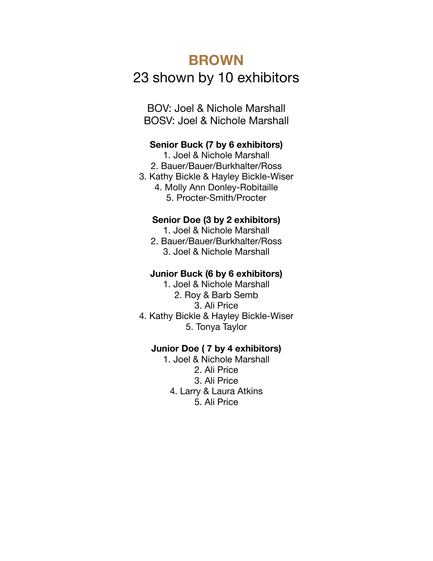# **BROWN**  23 shown by 10 exhibitors

BOV: Joel & Nichole Marshall BOSV: Joel & Nichole Marshall

#### **Senior Buck (7 by 6 exhibitors)**

1. Joel & Nichole Marshall 2. Bauer/Bauer/Burkhalter/Ross 3. Kathy Bickle & Hayley Bickle-Wiser 4. Molly Ann Donley-Robitaille 5. Procter-Smith/Procter

#### **Senior Doe (3 by 2 exhibitors)**

1. Joel & Nichole Marshall

2. Bauer/Bauer/Burkhalter/Ross 3. Joel & Nichole Marshall

#### **Junior Buck (6 by 6 exhibitors)**

1. Joel & Nichole Marshall 2. Roy & Barb Semb 3. Ali Price 4. Kathy Bickle & Hayley Bickle-Wiser 5. Tonya Taylor

#### **Junior Doe ( 7 by 4 exhibitors)**

1. Joel & Nichole Marshall 2. Ali Price 3. Ali Price 4. Larry & Laura Atkins 5. Ali Price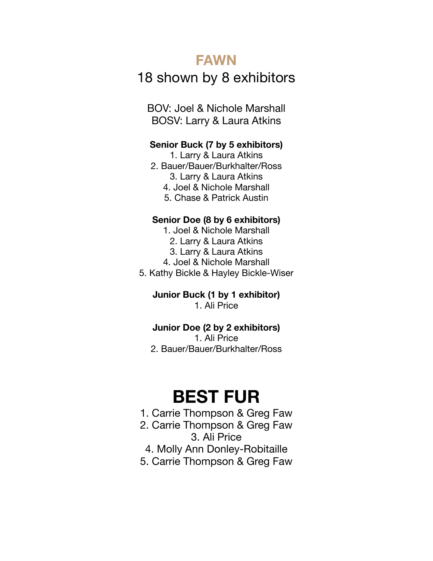### **FAWN**

## 18 shown by 8 exhibitors

BOV: Joel & Nichole Marshall BOSV: Larry & Laura Atkins

#### **Senior Buck (7 by 5 exhibitors)**

1. Larry & Laura Atkins 2. Bauer/Bauer/Burkhalter/Ross 3. Larry & Laura Atkins

- 4. Joel & Nichole Marshall
- 5. Chase & Patrick Austin

#### **Senior Doe (8 by 6 exhibitors)**

1. Joel & Nichole Marshall

- 2. Larry & Laura Atkins
- 3. Larry & Laura Atkins
- 4. Joel & Nichole Marshall

5. Kathy Bickle & Hayley Bickle-Wiser

**Junior Buck (1 by 1 exhibitor)**  1. Ali Price

#### **Junior Doe (2 by 2 exhibitors)**

1. Ali Price 2. Bauer/Bauer/Burkhalter/Ross

# **BEST FUR**

- 1. Carrie Thompson & Greg Faw 2. Carrie Thompson & Greg Faw 3. Ali Price 4. Molly Ann Donley-Robitaille
- 5. Carrie Thompson & Greg Faw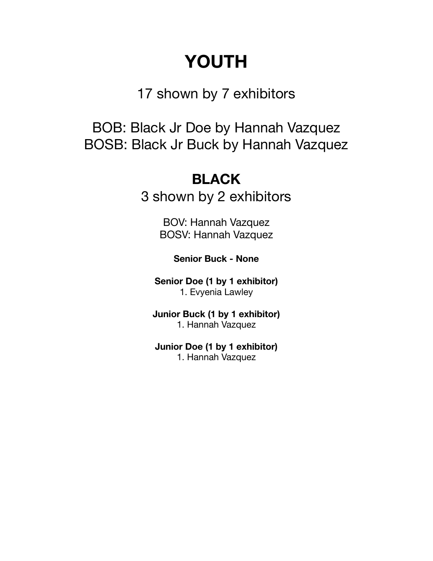# **YOUTH**

17 shown by 7 exhibitors

BOB: Black Jr Doe by Hannah Vazquez BOSB: Black Jr Buck by Hannah Vazquez

# **BLACK**

3 shown by 2 exhibitors

BOV: Hannah Vazquez BOSV: Hannah Vazquez

**Senior Buck - None** 

**Senior Doe (1 by 1 exhibitor)**  1. Evyenia Lawley

**Junior Buck (1 by 1 exhibitor)**  1. Hannah Vazquez

**Junior Doe (1 by 1 exhibitor)**  1. Hannah Vazquez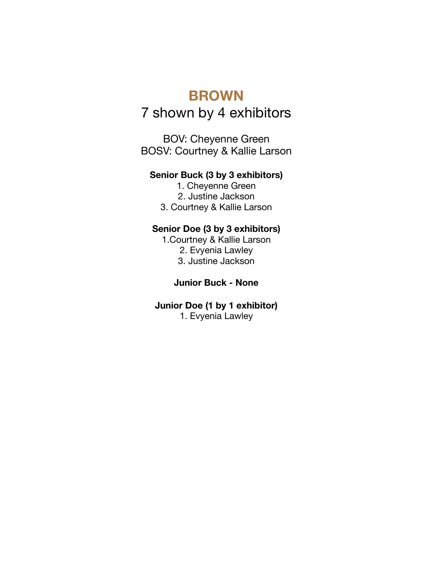## **BROWN**

## 7 shown by 4 exhibitors

BOV: Cheyenne Green BOSV: Courtney & Kallie Larson

#### **Senior Buck (3 by 3 exhibitors)**

1. Cheyenne Green 2. Justine Jackson 3. Courtney & Kallie Larson

#### **Senior Doe (3 by 3 exhibitors)**

1.Courtney & Kallie Larson 2. Evyenia Lawley 3. Justine Jackson

#### **Junior Buck - None**

### **Junior Doe (1 by 1 exhibitor)**

1. Evyenia Lawley